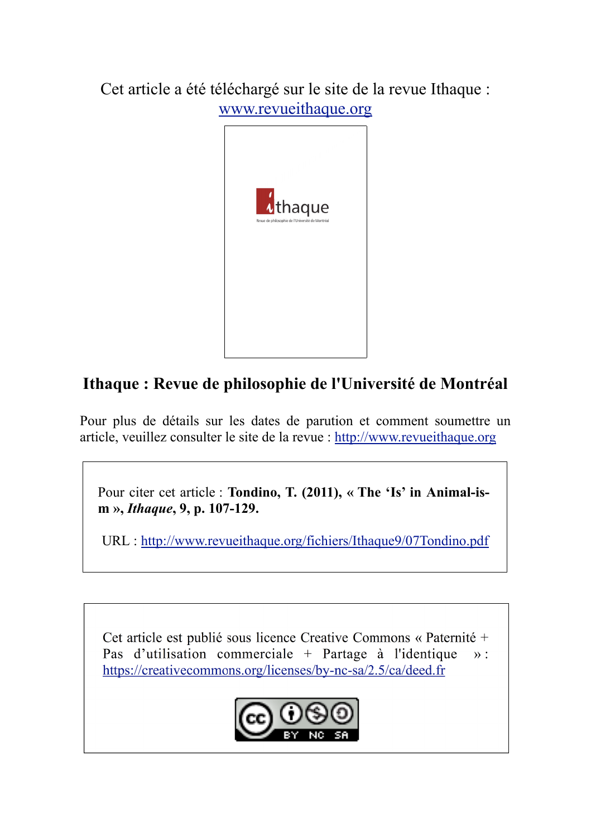Cet article a été téléchargé sur le site de la revue Ithaque : www.revueithaque.org



## **Ithaque : Revue de philosophie de l'Université de Montréal**

Pour plus de détails sur les dates de parution et comment soumettre un article, veuillez consulter le site de la revue : http://www.revueithaque.org

Pour citer cet article : **Tondino, T. (2011), « The 'Is' in Animal-ism »,** *Ithaque***, 9, p. 107-129.**

URL : http://www.revueithaque.org/fichiers/Ithaque9/07Tondino.pdf

Cet article est publié sous licence Creative Commons « Paternité + Pas d'utilisation commerciale + Partage à l'identique  $\mathcal{D}$ : https://creativecommons.org/licenses/by-nc-sa/2.5/ca/deed.fr

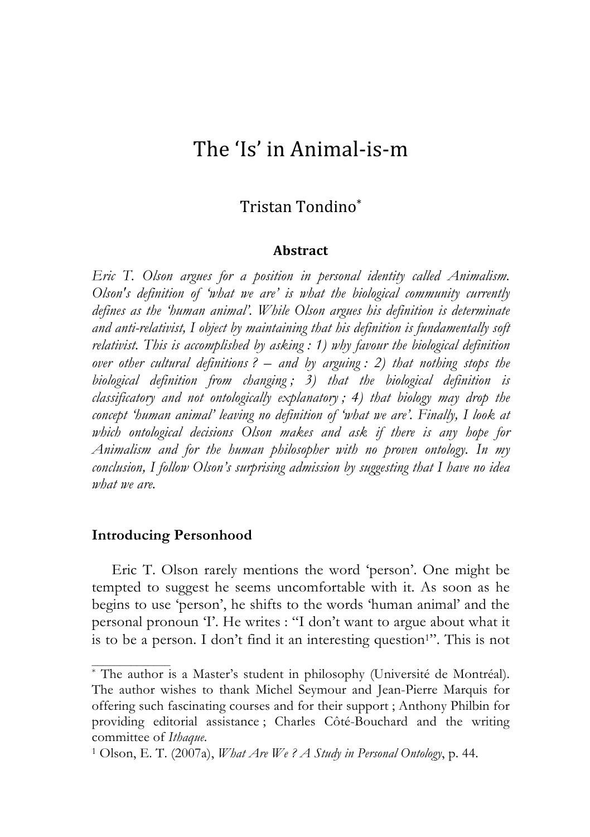# The
'Is'
in
Animal‐is‐m

## Tristan
Tondino\*

#### **Abstract**

*Eric T. Olson argues for a position in personal identity called Animalism. Olson's definition of 'what we are' is what the biological community currently defines as the 'human animal'. While Olson argues his definition is determinate and anti-relativist, I object by maintaining that his definition is fundamentally soft relativist. This is accomplished by asking : 1) why favour the biological definition over other cultural definitions ? – and by arguing : 2) that nothing stops the biological definition from changing ; 3) that the biological definition is classificatory and not ontologically explanatory ; 4) that biology may drop the*  concept 'human animal' leaving no definition of 'what we are'. Finally, I look at *which ontological decisions Olson makes and ask if there is any hope for Animalism and for the human philosopher with no proven ontology. In my conclusion, I follow Olson's surprising admission by suggesting that I have no idea what we are.* 

#### **Introducing Personhood**

Eric T. Olson rarely mentions the word 'person'. One might be tempted to suggest he seems uncomfortable with it. As soon as he begins to use 'person', he shifts to the words 'human animal' and the personal pronoun 'I'. He writes : "I don't want to argue about what it is to be a person. I don't find it an interesting question<sup>1</sup>". This is not

<sup>\*</sup> The author is a Master's student in philosophy (Université de Montréal). The author wishes to thank Michel Seymour and Jean-Pierre Marquis for offering such fascinating courses and for their support ; Anthony Philbin for providing editorial assistance ; Charles Côté-Bouchard and the writing committee of *Ithaque*.

<sup>1</sup> Olson, E. T. (2007a), *What Are We ? A Study in Personal Ontology*, p. 44.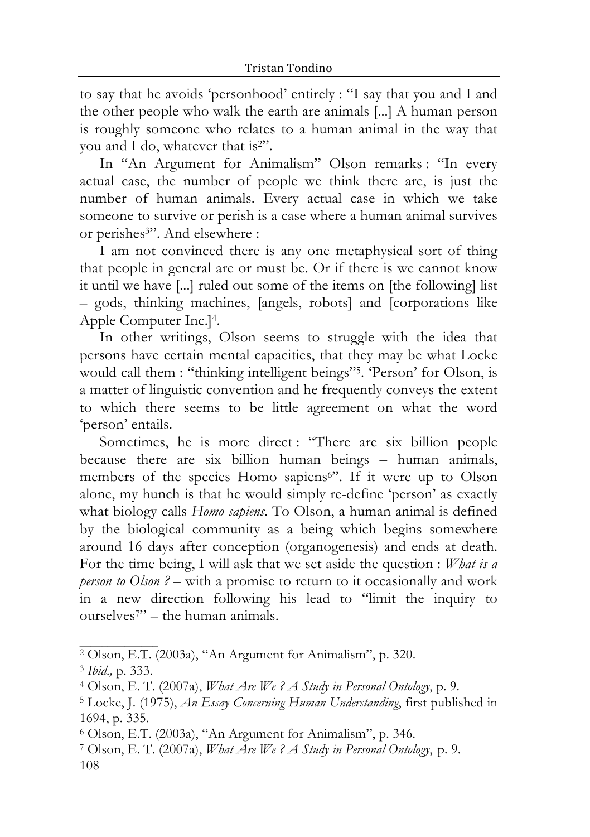to say that he avoids 'personhood' entirely : "I say that you and I and the other people who walk the earth are animals [...] A human person is roughly someone who relates to a human animal in the way that you and I do, whatever that is<sup>2"</sup>.

In "An Argument for Animalism" Olson remarks : "In every actual case, the number of people we think there are, is just the number of human animals. Every actual case in which we take someone to survive or perish is a case where a human animal survives or perishes<sup>3"</sup>. And elsewhere :

I am not convinced there is any one metaphysical sort of thing that people in general are or must be. Or if there is we cannot know it until we have [...] ruled out some of the items on [the following] list – gods, thinking machines, [angels, robots] and [corporations like Apple Computer Inc.]4.

In other writings, Olson seems to struggle with the idea that persons have certain mental capacities, that they may be what Locke would call them : "thinking intelligent beings"5. 'Person' for Olson, is a matter of linguistic convention and he frequently conveys the extent to which there seems to be little agreement on what the word 'person' entails.

Sometimes, he is more direct : "There are six billion people because there are six billion human beings – human animals, members of the species Homo sapiens<sup>6"</sup>. If it were up to Olson alone, my hunch is that he would simply re-define 'person' as exactly what biology calls *Homo sapiens*. To Olson, a human animal is defined by the biological community as a being which begins somewhere around 16 days after conception (organogenesis) and ends at death. For the time being, I will ask that we set aside the question : *What is a person to Olson* ? – with a promise to return to it occasionally and work in a new direction following his lead to "limit the inquiry to ourselves<sup>7"</sup> – the human animals.

<sup>2</sup> Olson, E.T. (2003a), "An Argument for Animalism", p. 320.

<sup>3</sup> *Ibid*.*,* p. 333.

<sup>4</sup> Olson, E. T. (2007a), *What Are We ? A Study in Personal Ontology*, p. 9.

<sup>5</sup> Locke, J. (1975), *An Essay Concerning Human Understanding*, first published in 1694, p. 335.

<sup>6</sup> Olson, E.T. (2003a), "An Argument for Animalism", p. 346.

<sup>108</sup> 7 Olson, E. T. (2007a), *What Are We ? A Study in Personal Ontology*,p. 9.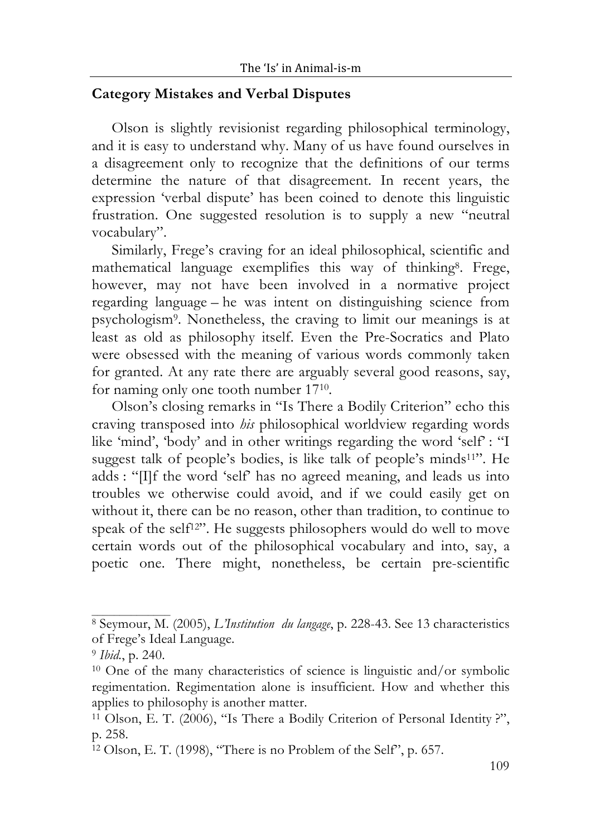#### **Category Mistakes and Verbal Disputes**

Olson is slightly revisionist regarding philosophical terminology, and it is easy to understand why. Many of us have found ourselves in a disagreement only to recognize that the definitions of our terms determine the nature of that disagreement. In recent years, the expression 'verbal dispute' has been coined to denote this linguistic frustration. One suggested resolution is to supply a new "neutral vocabulary".

Similarly, Frege's craving for an ideal philosophical, scientific and mathematical language exemplifies this way of thinking8. Frege, however, may not have been involved in a normative project regarding language – he was intent on distinguishing science from psychologism9. Nonetheless, the craving to limit our meanings is at least as old as philosophy itself. Even the Pre-Socratics and Plato were obsessed with the meaning of various words commonly taken for granted. At any rate there are arguably several good reasons, say, for naming only one tooth number 1710.

Olson's closing remarks in "Is There a Bodily Criterion" echo this craving transposed into *his* philosophical worldview regarding words like 'mind', 'body' and in other writings regarding the word 'self' : "I suggest talk of people's bodies, is like talk of people's minds11". He adds : "[I]f the word 'self' has no agreed meaning, and leads us into troubles we otherwise could avoid, and if we could easily get on without it, there can be no reason, other than tradition, to continue to speak of the self<sup>12"</sup>. He suggests philosophers would do well to move certain words out of the philosophical vocabulary and into, say, a poetic one. There might, nonetheless, be certain pre-scientific

<sup>8</sup> Seymour, M. (2005), *L'Institution du langage*, p. 228-43. See 13 characteristics of Frege's Ideal Language.

<sup>9</sup> *Ibid.*, p. 240.

 $10$  One of the many characteristics of science is linguistic and/or symbolic regimentation. Regimentation alone is insufficient. How and whether this applies to philosophy is another matter.

<sup>11</sup> Olson, E. T. (2006), "Is There a Bodily Criterion of Personal Identity ?", p. 258.

<sup>12</sup> Olson, E. T. (1998), "There is no Problem of the Self", p. 657.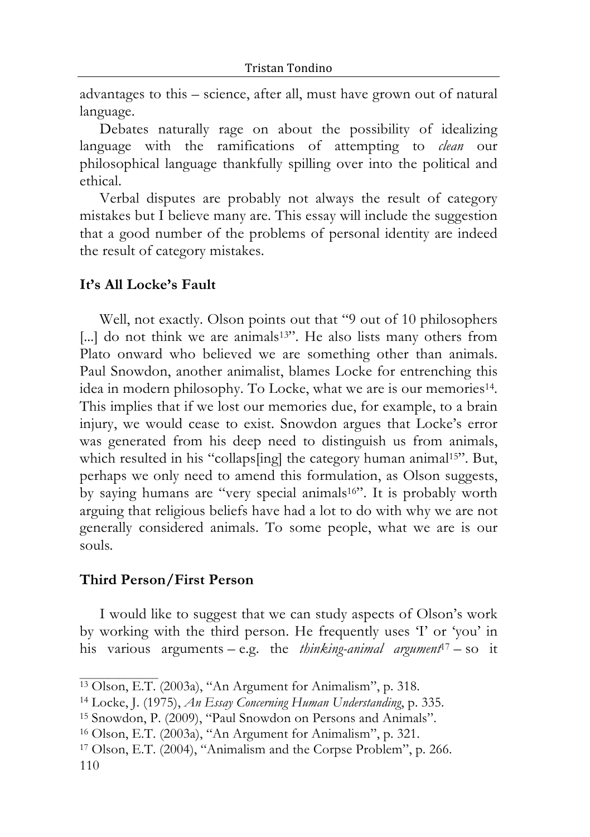advantages to this – science, after all, must have grown out of natural language.

Debates naturally rage on about the possibility of idealizing language with the ramifications of attempting to *clean* our philosophical language thankfully spilling over into the political and ethical.

Verbal disputes are probably not always the result of category mistakes but I believe many are. This essay will include the suggestion that a good number of the problems of personal identity are indeed the result of category mistakes.

#### **It's All Locke's Fault**

Well, not exactly. Olson points out that "9 out of 10 philosophers [...] do not think we are animals<sup>13"</sup>. He also lists many others from Plato onward who believed we are something other than animals. Paul Snowdon, another animalist, blames Locke for entrenching this idea in modern philosophy. To Locke, what we are is our memories<sup>14</sup>. This implies that if we lost our memories due, for example, to a brain injury, we would cease to exist. Snowdon argues that Locke's error was generated from his deep need to distinguish us from animals, which resulted in his "collaps[ing] the category human animal<sup>15"</sup>. But, perhaps we only need to amend this formulation, as Olson suggests, by saying humans are "very special animals<sup>16"</sup>. It is probably worth arguing that religious beliefs have had a lot to do with why we are not generally considered animals. To some people, what we are is our souls*.*

#### **Third Person/First Person**

I would like to suggest that we can study aspects of Olson's work by working with the third person. He frequently uses 'I' or 'you' in his various arguments – e.g. the *thinking-animal argument*<sup>17</sup> – so it

<sup>&</sup>lt;sup>13</sup> Olson, E.T. (2003a), "An Argument for Animalism", p. 318.

<sup>14</sup> Locke, J. (1975), *An Essay Concerning Human Understanding*, p. 335.

<sup>15</sup> Snowdon, P. (2009), "Paul Snowdon on Persons and Animals".

<sup>16</sup> Olson, E.T. (2003a), "An Argument for Animalism", p. 321.

<sup>110</sup> 17 Olson, E.T. (2004), "Animalism and the Corpse Problem", p. 266.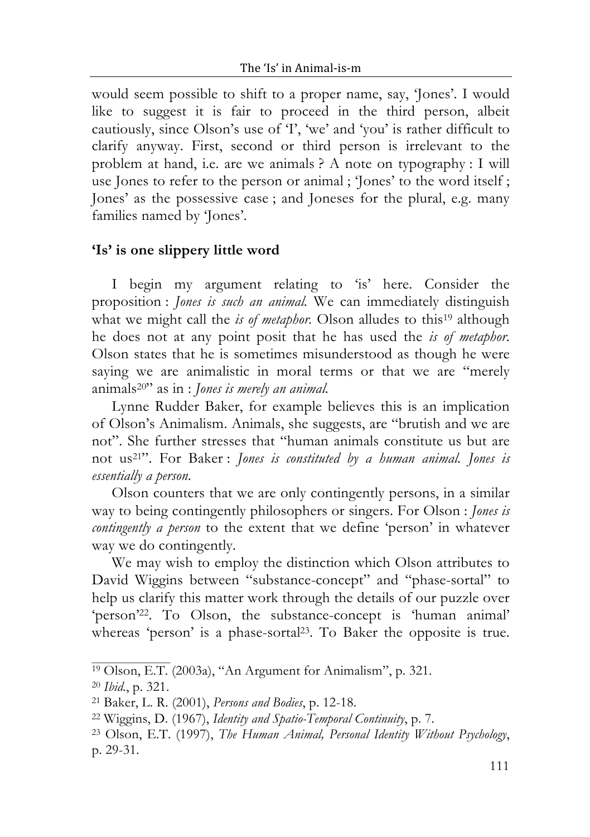would seem possible to shift to a proper name, say, 'Jones'. I would like to suggest it is fair to proceed in the third person, albeit cautiously, since Olson's use of 'I', 'we' and 'you' is rather difficult to clarify anyway. First, second or third person is irrelevant to the problem at hand, i.e. are we animals ? A note on typography : I will use Jones to refer to the person or animal ; 'Jones' to the word itself ; Jones' as the possessive case ; and Joneses for the plural, e.g. many families named by 'Jones'.

#### **'Is' is one slippery little word**

I begin my argument relating to 'is' here. Consider the proposition : *Jones is such an animal.* We can immediately distinguish what we might call the *is of metaphor*. Olson alludes to this<sup>19</sup> although he does not at any point posit that he has used the *is of metaphor*. Olson states that he is sometimes misunderstood as though he were saying we are animalistic in moral terms or that we are "merely animals20" as in : *Jones is merely an animal.*

Lynne Rudder Baker, for example believes this is an implication of Olson's Animalism. Animals, she suggests, are "brutish and we are not". She further stresses that "human animals constitute us but are not us21". For Baker : *Jones is constituted by a human animal. Jones is essentially a person.*

Olson counters that we are only contingently persons, in a similar way to being contingently philosophers or singers. For Olson : *Jones is contingently a person* to the extent that we define 'person' in whatever way we do contingently.

We may wish to employ the distinction which Olson attributes to David Wiggins between "substance-concept" and "phase-sortal" to help us clarify this matter work through the details of our puzzle over 'person'22. To Olson, the substance-concept is 'human animal' whereas 'person' is a phase-sortal<sup>23</sup>. To Baker the opposite is true.

<sup>19</sup> Olson, E.T. (2003a), "An Argument for Animalism", p. 321.

<sup>20</sup> *Ibid.*, p. 321.

<sup>21</sup> Baker, L. R. (2001), *Persons and Bodies*, p. 12-18.

<sup>22</sup> Wiggins, D. (1967), *Identity and Spatio-Temporal Continuity*, p. 7.

<sup>23</sup> Olson, E.T. (1997), *The Human Animal, Personal Identity Without Psychology*, p. 29-31.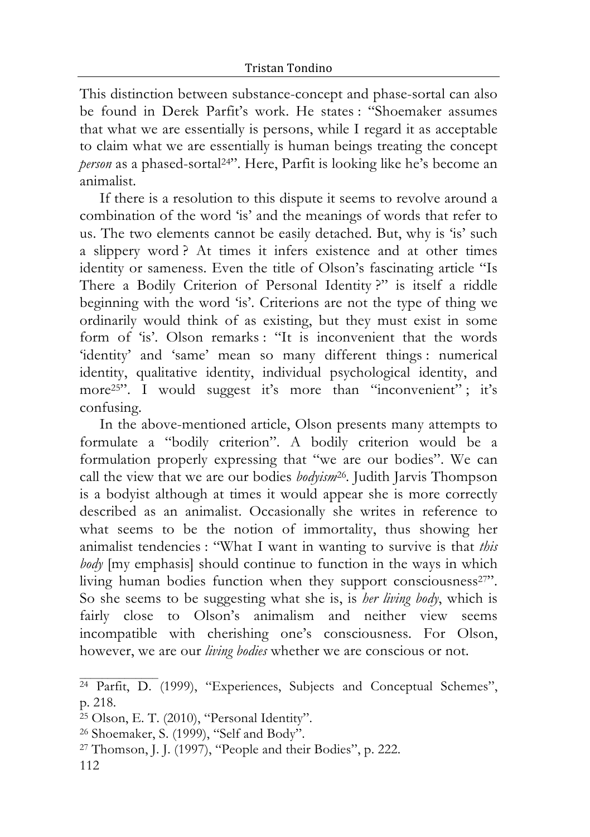This distinction between substance-concept and phase-sortal can also be found in Derek Parfit's work. He states : "Shoemaker assumes that what we are essentially is persons, while I regard it as acceptable to claim what we are essentially is human beings treating the concept *person* as a phased-sortal24". Here, Parfit is looking like he's become an animalist.

If there is a resolution to this dispute it seems to revolve around a combination of the word 'is' and the meanings of words that refer to us. The two elements cannot be easily detached. But, why is 'is' such a slippery word ? At times it infers existence and at other times identity or sameness. Even the title of Olson's fascinating article "Is There a Bodily Criterion of Personal Identity ?" is itself a riddle beginning with the word 'is'. Criterions are not the type of thing we ordinarily would think of as existing, but they must exist in some form of 'is'. Olson remarks: "It is inconvenient that the words 'identity' and 'same' mean so many different things : numerical identity, qualitative identity, individual psychological identity, and more<sup>25"</sup>. I would suggest it's more than "inconvenient"; it's confusing.

In the above-mentioned article, Olson presents many attempts to formulate a "bodily criterion". A bodily criterion would be a formulation properly expressing that "we are our bodies". We can call the view that we are our bodies *bodyism*26*.* Judith Jarvis Thompson is a bodyist although at times it would appear she is more correctly described as an animalist. Occasionally she writes in reference to what seems to be the notion of immortality, thus showing her animalist tendencies : "What I want in wanting to survive is that *this body* [my emphasis] should continue to function in the ways in which living human bodies function when they support consciousness<sup>27"</sup>. So she seems to be suggesting what she is, is *her living body*, which is fairly close to Olson's animalism and neither view seems incompatible with cherishing one's consciousness. For Olson, however, we are our *living bodies* whether we are conscious or not.

<sup>24</sup> Parfit, D. (1999), "Experiences, Subjects and Conceptual Schemes", p. 218.

<sup>25</sup> Olson, E. T. (2010), "Personal Identity".

<sup>26</sup> Shoemaker, S. (1999), "Self and Body".

<sup>27</sup> Thomson, J. J. (1997), "People and their Bodies", p. 222.

<sup>112</sup>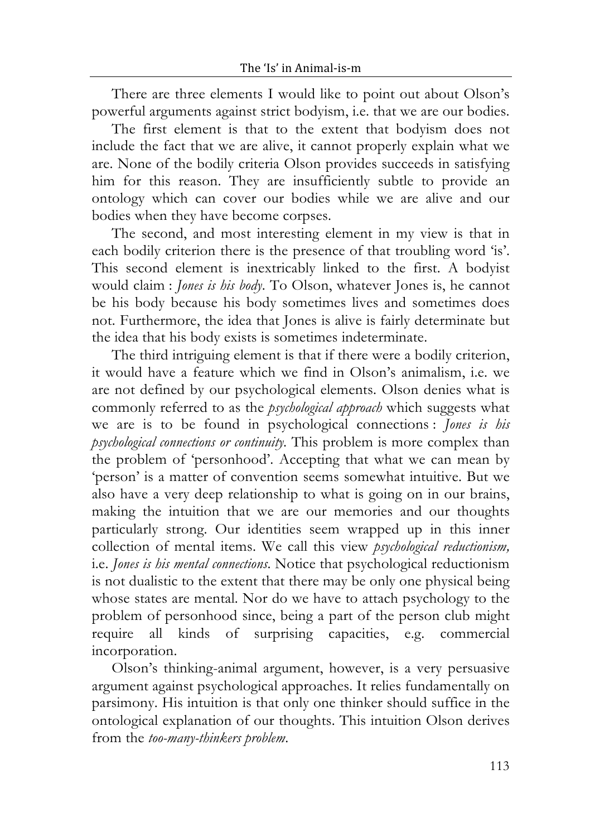There are three elements I would like to point out about Olson's powerful arguments against strict bodyism, i.e. that we are our bodies.

The first element is that to the extent that bodyism does not include the fact that we are alive, it cannot properly explain what we are. None of the bodily criteria Olson provides succeeds in satisfying him for this reason. They are insufficiently subtle to provide an ontology which can cover our bodies while we are alive and our bodies when they have become corpses.

The second, and most interesting element in my view is that in each bodily criterion there is the presence of that troubling word 'is'. This second element is inextricably linked to the first. A bodyist would claim : *Jones is his body*. To Olson, whatever Jones is, he cannot be his body because his body sometimes lives and sometimes does not. Furthermore, the idea that Jones is alive is fairly determinate but the idea that his body exists is sometimes indeterminate.

The third intriguing element is that if there were a bodily criterion, it would have a feature which we find in Olson's animalism, i.e. we are not defined by our psychological elements. Olson denies what is commonly referred to as the *psychological approach* which suggests what we are is to be found in psychological connections : *Jones is his psychological connections or continuity.* This problem is more complex than the problem of 'personhood'. Accepting that what we can mean by 'person' is a matter of convention seems somewhat intuitive. But we also have a very deep relationship to what is going on in our brains, making the intuition that we are our memories and our thoughts particularly strong. Our identities seem wrapped up in this inner collection of mental items. We call this view *psychological reductionism,* i.e. *Jones is his mental connections*. Notice that psychological reductionism is not dualistic to the extent that there may be only one physical being whose states are mental. Nor do we have to attach psychology to the problem of personhood since, being a part of the person club might require all kinds of surprising capacities, e.g. commercial incorporation.

Olson's thinking-animal argument, however, is a very persuasive argument against psychological approaches. It relies fundamentally on parsimony. His intuition is that only one thinker should suffice in the ontological explanation of our thoughts. This intuition Olson derives from the *too-many-thinkers problem*.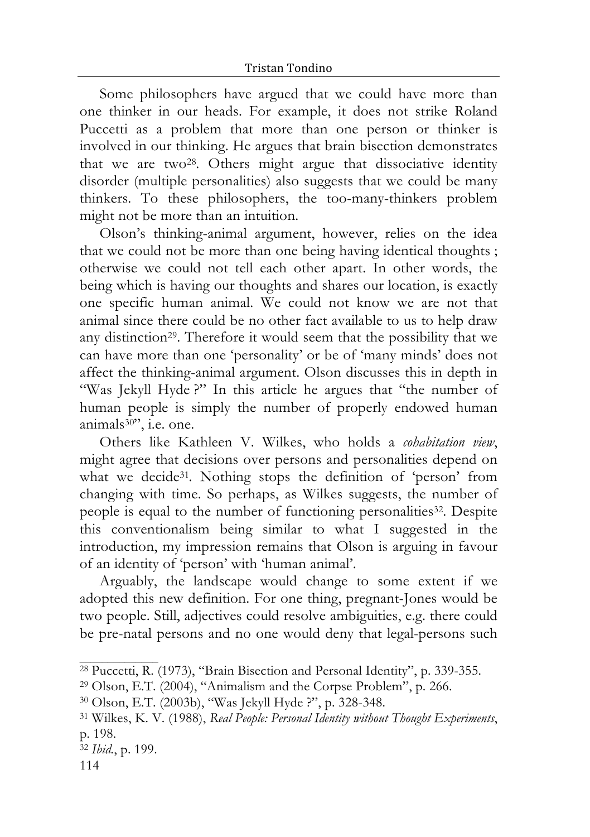Some philosophers have argued that we could have more than one thinker in our heads. For example, it does not strike Roland Puccetti as a problem that more than one person or thinker is involved in our thinking. He argues that brain bisection demonstrates that we are two28. Others might argue that dissociative identity disorder (multiple personalities) also suggests that we could be many thinkers. To these philosophers, the too-many-thinkers problem might not be more than an intuition.

Olson's thinking-animal argument, however, relies on the idea that we could not be more than one being having identical thoughts ; otherwise we could not tell each other apart. In other words, the being which is having our thoughts and shares our location, is exactly one specific human animal. We could not know we are not that animal since there could be no other fact available to us to help draw any distinction29. Therefore it would seem that the possibility that we can have more than one 'personality' or be of 'many minds' does not affect the thinking-animal argument. Olson discusses this in depth in "Was Jekyll Hyde ?" In this article he argues that "the number of human people is simply the number of properly endowed human animals30", i.e. one.

Others like Kathleen V. Wilkes, who holds a *cohabitation view*, might agree that decisions over persons and personalities depend on what we decide<sup>31</sup>. Nothing stops the definition of 'person' from changing with time. So perhaps, as Wilkes suggests, the number of people is equal to the number of functioning personalities<sup>32</sup>. Despite this conventionalism being similar to what I suggested in the introduction, my impression remains that Olson is arguing in favour of an identity of 'person' with 'human animal'.

Arguably, the landscape would change to some extent if we adopted this new definition. For one thing, pregnant-Jones would be two people. Still, adjectives could resolve ambiguities, e.g. there could be pre-natal persons and no one would deny that legal-persons such

<sup>28</sup> Puccetti, R. (1973), "Brain Bisection and Personal Identity", p. 339-355.

<sup>29</sup> Olson, E.T. (2004), "Animalism and the Corpse Problem", p. 266.

<sup>30</sup> Olson, E.T. (2003b), "Was Jekyll Hyde ?", p. 328-348.

<sup>31</sup> Wilkes, K. V. (1988), *Real People: Personal Identity without Thought Experiments*, p. 198.

<sup>32</sup> *Ibid.*, p. 199.

<sup>114</sup>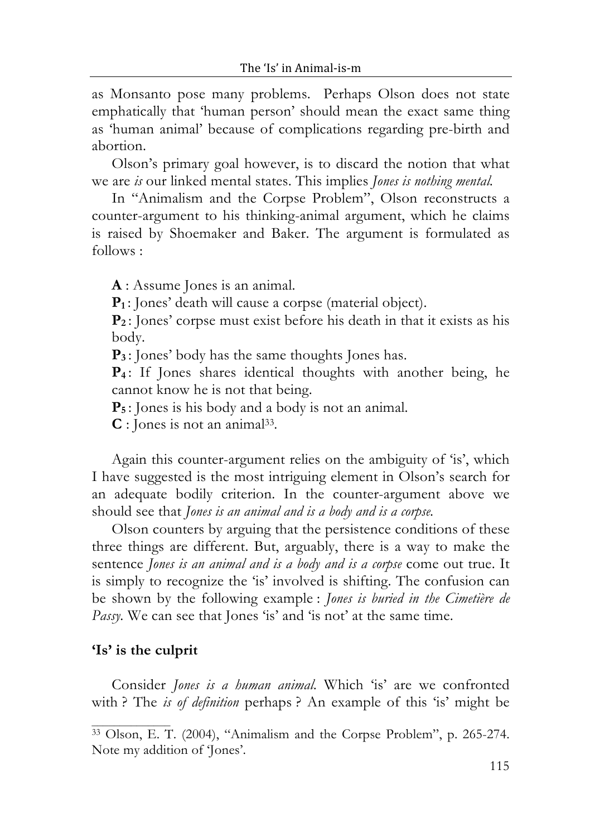as Monsanto pose many problems. Perhaps Olson does not state emphatically that 'human person' should mean the exact same thing as 'human animal' because of complications regarding pre-birth and abortion.

Olson's primary goal however, is to discard the notion that what we are *is* our linked mental states. This implies *Jones is nothing mental.*

In "Animalism and the Corpse Problem", Olson reconstructs a counter-argument to his thinking-animal argument, which he claims is raised by Shoemaker and Baker. The argument is formulated as follows :

**A** : Assume Jones is an animal.

**P1** : Jones' death will cause a corpse (material object).

**P2** : Jones' corpse must exist before his death in that it exists as his body.

**P<sub>3</sub>**: Jones' body has the same thoughts Jones has.

**P4** : If Jones shares identical thoughts with another being, he cannot know he is not that being.

**P5** : Jones is his body and a body is not an animal.

**C** : Jones is not an animal33.

Again this counter-argument relies on the ambiguity of 'is', which I have suggested is the most intriguing element in Olson's search for an adequate bodily criterion. In the counter-argument above we should see that *Jones is an animal and is a body and is a corpse.*

Olson counters by arguing that the persistence conditions of these three things are different. But, arguably, there is a way to make the sentence *Jones is an animal and is a body and is a corpse* come out true. It is simply to recognize the 'is' involved is shifting. The confusion can be shown by the following example : *Jones is buried in the Cimetière de Passy.* We can see that Jones 'is' and 'is not' at the same time.

### **'Is' is the culprit**

Consider *Jones is a human animal.* Which 'is' are we confronted with ? The *is of definition* perhaps ? An example of this 'is' might be

<sup>&</sup>lt;sup>33</sup> Olson, E. T. (2004), "Animalism and the Corpse Problem", p. 265-274. Note my addition of 'Jones'.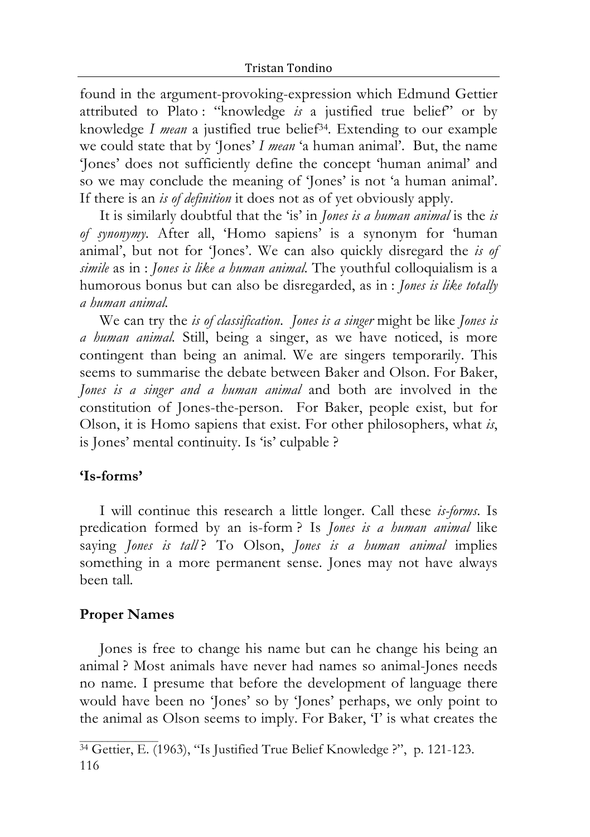found in the argument-provoking-expression which Edmund Gettier attributed to Plato : "knowledge *is* a justified true belief" or by knowledge *I mean* a justified true belief34. Extending to our example we could state that by 'Jones' *I mean* 'a human animal'. But, the name 'Jones' does not sufficiently define the concept 'human animal' and so we may conclude the meaning of 'Jones' is not 'a human animal'. If there is an *is of definition* it does not as of yet obviously apply.

It is similarly doubtful that the 'is' in *Jones is a human animal* is the *is of synonymy*. After all, 'Homo sapiens' is a synonym for 'human animal', but not for 'Jones'. We can also quickly disregard the *is of simile* as in : *Jones is like a human animal.* The youthful colloquialism is a humorous bonus but can also be disregarded, as in : *Jones is like totally a human animal.*

We can try the *is of classification*. *Jones is a singer* might be like *Jones is a human animal.* Still, being a singer, as we have noticed, is more contingent than being an animal. We are singers temporarily. This seems to summarise the debate between Baker and Olson. For Baker, *Jones is a singer and a human animal* and both are involved in the constitution of Jones-the-person. For Baker, people exist, but for Olson, it is Homo sapiens that exist. For other philosophers, what *is*, is Jones' mental continuity. Is 'is' culpable ?

#### **'Is-forms'**

I will continue this research a little longer. Call these *is-forms*. Is predication formed by an is-form ? Is *Jones is a human animal* like saying *Jones is tall*? To Olson, *Jones is a human animal* implies something in a more permanent sense. Jones may not have always been tall*.*

#### **Proper Names**

Jones is free to change his name but can he change his being an animal ? Most animals have never had names so animal-Jones needs no name. I presume that before the development of language there would have been no 'Jones' so by 'Jones' perhaps, we only point to the animal as Olson seems to imply. For Baker, 'I' is what creates the

<sup>116</sup> <sup>34</sup> Gettier, E. (1963), "Is Justified True Belief Knowledge ?", p. 121-123.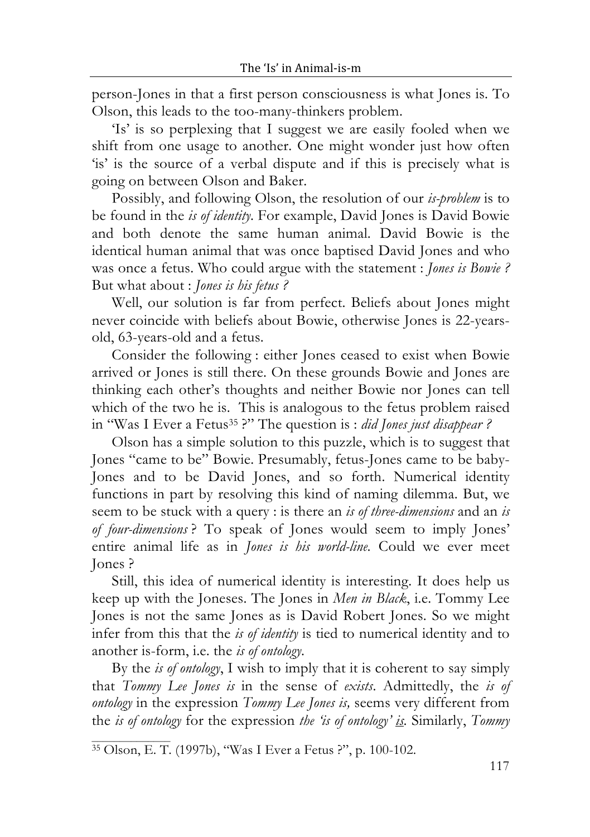person-Jones in that a first person consciousness is what Jones is. To Olson, this leads to the too-many-thinkers problem.

'Is' is so perplexing that I suggest we are easily fooled when we shift from one usage to another. One might wonder just how often 'is' is the source of a verbal dispute and if this is precisely what is going on between Olson and Baker.

Possibly, and following Olson, the resolution of our *is-problem* is to be found in the *is of identity*. For example, David Jones is David Bowie and both denote the same human animal. David Bowie is the identical human animal that was once baptised David Jones and who was once a fetus. Who could argue with the statement : *Jones is Bowie ?*  But what about : *Jones is his fetus ?*

Well, our solution is far from perfect. Beliefs about Jones might never coincide with beliefs about Bowie, otherwise Jones is 22-yearsold, 63-years-old and a fetus.

Consider the following : either Jones ceased to exist when Bowie arrived or Jones is still there. On these grounds Bowie and Jones are thinking each other's thoughts and neither Bowie nor Jones can tell which of the two he is. This is analogous to the fetus problem raised in "Was I Ever a Fetus35 ?" The question is : *did Jones just disappear ?*

Olson has a simple solution to this puzzle, which is to suggest that Jones "came to be" Bowie. Presumably, fetus-Jones came to be baby-Jones and to be David Jones, and so forth. Numerical identity functions in part by resolving this kind of naming dilemma. But, we seem to be stuck with a query : is there an *is of three-dimensions* and an *is of four-dimensions* ? To speak of Jones would seem to imply Jones' entire animal life as in *Jones is his world-line.* Could we ever meet Jones ?

Still, this idea of numerical identity is interesting. It does help us keep up with the Joneses. The Jones in *Men in Black*, i.e. Tommy Lee Jones is not the same Jones as is David Robert Jones. So we might infer from this that the *is of identity* is tied to numerical identity and to another is-form, i.e. the *is of ontology*.

By the *is of ontology*, I wish to imply that it is coherent to say simply that *Tommy Lee Jones is* in the sense of *exists*. Admittedly, the *is of ontology* in the expression *Tommy Lee Jones is,* seems very different from the *is of ontology* for the expression *the 'is of ontology' is.* Similarly, *Tommy* 

<sup>35</sup> Olson, E. T. (1997b), "Was I Ever a Fetus ?", p. 100-102.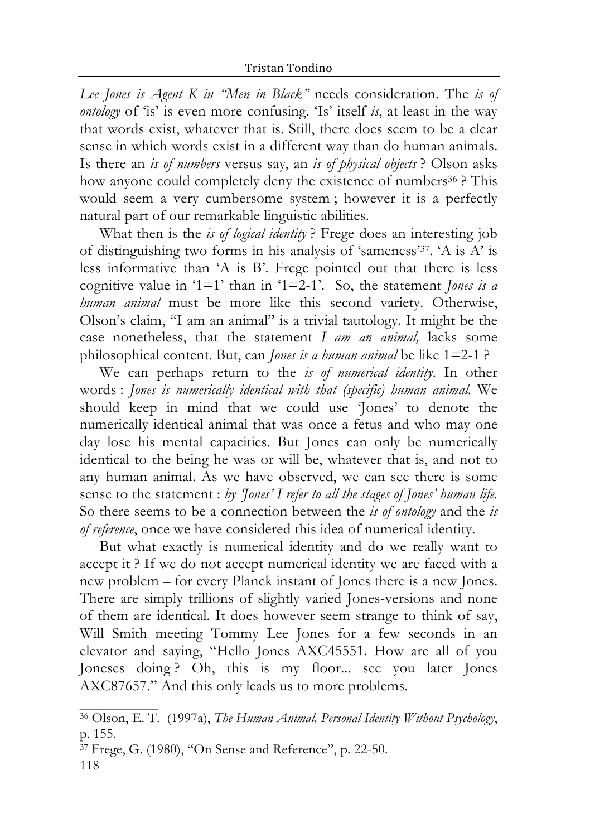*Lee Jones is Agent K in "Men in Black"* needs consideration. The *is of ontology* of 'is' is even more confusing. 'Is' itself *is*, at least in the way that words exist, whatever that is. Still, there does seem to be a clear sense in which words exist in a different way than do human animals. Is there an *is of numbers* versus say, an *is of physical objects* ? Olson asks how anyone could completely deny the existence of numbers<sup>36</sup>? This would seem a very cumbersome system ; however it is a perfectly natural part of our remarkable linguistic abilities.

What then is the *is of logical identity* ? Frege does an interesting job of distinguishing two forms in his analysis of 'sameness'37. 'A is A' is less informative than 'A is B'. Frege pointed out that there is less cognitive value in '1=1' than in '1=2-1'. So, the statement *Jones is a human animal* must be more like this second variety. Otherwise, Olson's claim, "I am an animal" is a trivial tautology. It might be the case nonetheless, that the statement *I am an animal,* lacks some philosophical content. But, can *Jones is a human animal* be like 1=2-1 ?

We can perhaps return to the *is of numerical identity*. In other words : *Jones is numerically identical with that (specific) human animal.* We should keep in mind that we could use 'Jones' to denote the numerically identical animal that was once a fetus and who may one day lose his mental capacities. But Jones can only be numerically identical to the being he was or will be, whatever that is, and not to any human animal. As we have observed, we can see there is some sense to the statement : *by 'Jones' I refer to all the stages of Jones' human life.*  So there seems to be a connection between the *is of ontology* and the *is of reference*, once we have considered this idea of numerical identity.

But what exactly is numerical identity and do we really want to accept it ? If we do not accept numerical identity we are faced with a new problem – for every Planck instant of Jones there is a new Jones. There are simply trillions of slightly varied Jones-versions and none of them are identical. It does however seem strange to think of say, Will Smith meeting Tommy Lee Jones for a few seconds in an elevator and saying, "Hello Jones AXC45551. How are all of you Joneses doing ? Oh, this is my floor... see you later Jones AXC87657." And this only leads us to more problems.

 $\mathcal{L}_\text{max}$  and  $\mathcal{L}_\text{max}$ 

<sup>36</sup> Olson, E. T. (1997a), *The Human Animal, Personal Identity Without Psychology*, p. 155.

<sup>118</sup> 37 Frege, G. (1980), "On Sense and Reference", p. 22-50.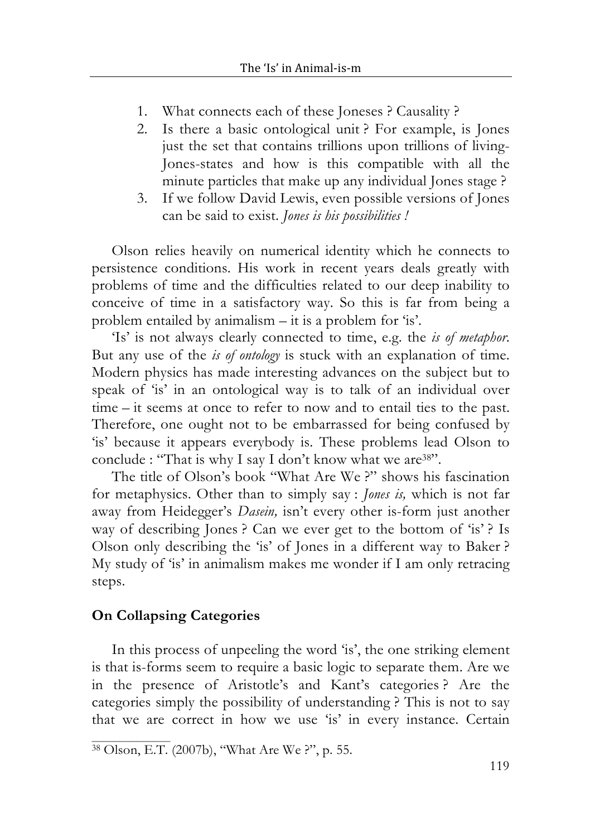- 1. What connects each of these Joneses ? Causality ?
- 2. Is there a basic ontological unit ? For example, is Jones just the set that contains trillions upon trillions of living-Jones-states and how is this compatible with all the minute particles that make up any individual Jones stage ?
- 3. If we follow David Lewis, even possible versions of Jones can be said to exist. *Jones is his possibilities !*

Olson relies heavily on numerical identity which he connects to persistence conditions. His work in recent years deals greatly with problems of time and the difficulties related to our deep inability to conceive of time in a satisfactory way. So this is far from being a problem entailed by animalism  $-$  it is a problem for 'is'.

'Is' is not always clearly connected to time, e.g. the *is of metaphor*. But any use of the *is of ontology* is stuck with an explanation of time. Modern physics has made interesting advances on the subject but to speak of 'is' in an ontological way is to talk of an individual over time – it seems at once to refer to now and to entail ties to the past. Therefore, one ought not to be embarrassed for being confused by 'is' because it appears everybody is. These problems lead Olson to conclude : "That is why I say I don't know what we are <sup>38"</sup>.

The title of Olson's book "What Are We ?" shows his fascination for metaphysics. Other than to simply say : *Jones is,* which is not far away from Heidegger's *Dasein,* isn't every other is-form just another way of describing Jones? Can we ever get to the bottom of 'is'? Is Olson only describing the 'is' of Jones in a different way to Baker ? My study of 'is' in animalism makes me wonder if I am only retracing steps.

#### **On Collapsing Categories**

In this process of unpeeling the word 'is', the one striking element is that is-forms seem to require a basic logic to separate them. Are we in the presence of Aristotle's and Kant's categories ? Are the categories simply the possibility of understanding ? This is not to say that we are correct in how we use 'is' in every instance. Certain

<sup>38</sup> Olson, E.T. (2007b), "What Are We ?", p. 55.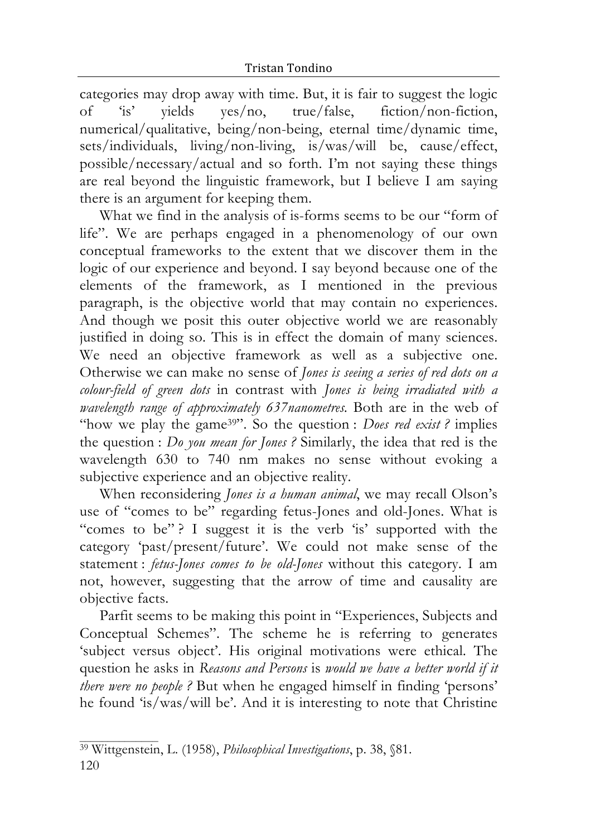categories may drop away with time. But, it is fair to suggest the logic of 'is' yields yes/no, true/false, fiction/non-fiction, numerical/qualitative, being/non-being, eternal time/dynamic time, sets/individuals, living/non-living, is/was/will be, cause/effect, possible/necessary/actual and so forth. I'm not saying these things are real beyond the linguistic framework, but I believe I am saying there is an argument for keeping them.

What we find in the analysis of is-forms seems to be our "form of life". We are perhaps engaged in a phenomenology of our own conceptual frameworks to the extent that we discover them in the logic of our experience and beyond. I say beyond because one of the elements of the framework, as I mentioned in the previous paragraph, is the objective world that may contain no experiences. And though we posit this outer objective world we are reasonably justified in doing so. This is in effect the domain of many sciences. We need an objective framework as well as a subjective one. Otherwise we can make no sense of *Jones is seeing a series of red dots on a colour-field of green dots* in contrast with *Jones is being irradiated with a wavelength range of approximately 637nanometres.* Both are in the web of "how we play the game39". So the question : *Does red exist ?* implies the question : *Do you mean for Jones ?* Similarly, the idea that red is the wavelength 630 to 740 nm makes no sense without evoking a subjective experience and an objective reality.

When reconsidering *Jones is a human animal*, we may recall Olson's use of "comes to be" regarding fetus-Jones and old-Jones. What is "comes to be"? I suggest it is the verb 'is' supported with the category 'past/present/future'. We could not make sense of the statement : *fetus-Jones comes to be old-Jones* without this category. I am not, however, suggesting that the arrow of time and causality are objective facts.

Parfit seems to be making this point in "Experiences, Subjects and Conceptual Schemes". The scheme he is referring to generates 'subject versus object'. His original motivations were ethical. The question he asks in *Reasons and Persons* is *would we have a better world if it there were no people ?* But when he engaged himself in finding 'persons' he found 'is/was/will be'. And it is interesting to note that Christine

<sup>120</sup> 39 Wittgenstein, L. (1958), *Philosophical Investigations*, p. 38, §81.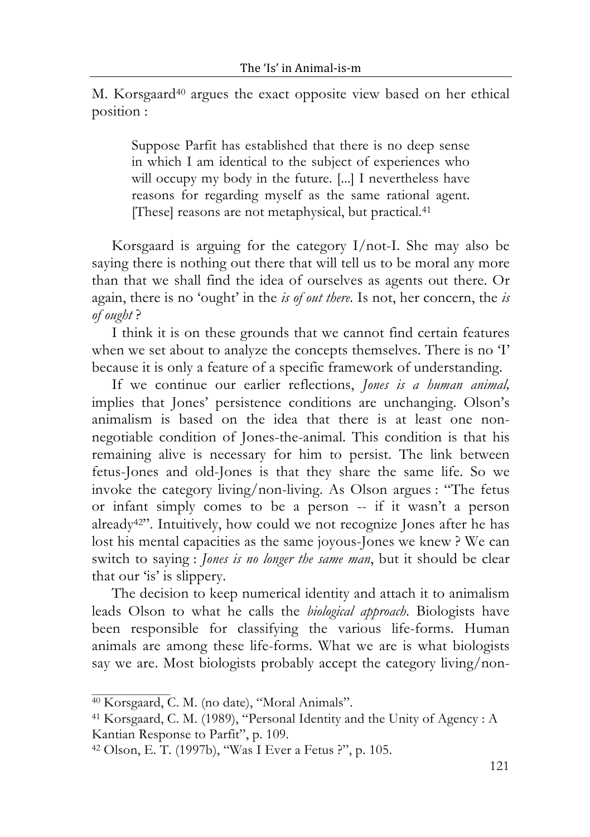M. Korsgaard40 argues the exact opposite view based on her ethical position :

Suppose Parfit has established that there is no deep sense in which I am identical to the subject of experiences who will occupy my body in the future. [...] I nevertheless have reasons for regarding myself as the same rational agent. [These] reasons are not metaphysical, but practical.41

Korsgaard is arguing for the category I/not-I. She may also be saying there is nothing out there that will tell us to be moral any more than that we shall find the idea of ourselves as agents out there. Or again, there is no 'ought' in the *is of out there*. Is not, her concern, the *is of ought* ?

I think it is on these grounds that we cannot find certain features when we set about to analyze the concepts themselves. There is no 'I' because it is only a feature of a specific framework of understanding.

If we continue our earlier reflections, *Jones is a human animal,*  implies that Jones' persistence conditions are unchanging. Olson's animalism is based on the idea that there is at least one nonnegotiable condition of Jones-the-animal. This condition is that his remaining alive is necessary for him to persist. The link between fetus-Jones and old-Jones is that they share the same life. So we invoke the category living/non-living. As Olson argues : "The fetus or infant simply comes to be a person -- if it wasn't a person already42". Intuitively, how could we not recognize Jones after he has lost his mental capacities as the same joyous-Jones we knew ? We can switch to saying : *Jones is no longer the same man*, but it should be clear that our 'is' is slippery.

The decision to keep numerical identity and attach it to animalism leads Olson to what he calls the *biological approach*. Biologists have been responsible for classifying the various life-forms. Human animals are among these life-forms. What we are is what biologists say we are. Most biologists probably accept the category living/non-

<sup>40</sup> Korsgaard, C. M. (no date), "Moral Animals".

<sup>41</sup> Korsgaard, C. M. (1989), "Personal Identity and the Unity of Agency : A Kantian Response to Parfit", p. 109.

<sup>42</sup> Olson, E. T. (1997b), "Was I Ever a Fetus ?", p. 105.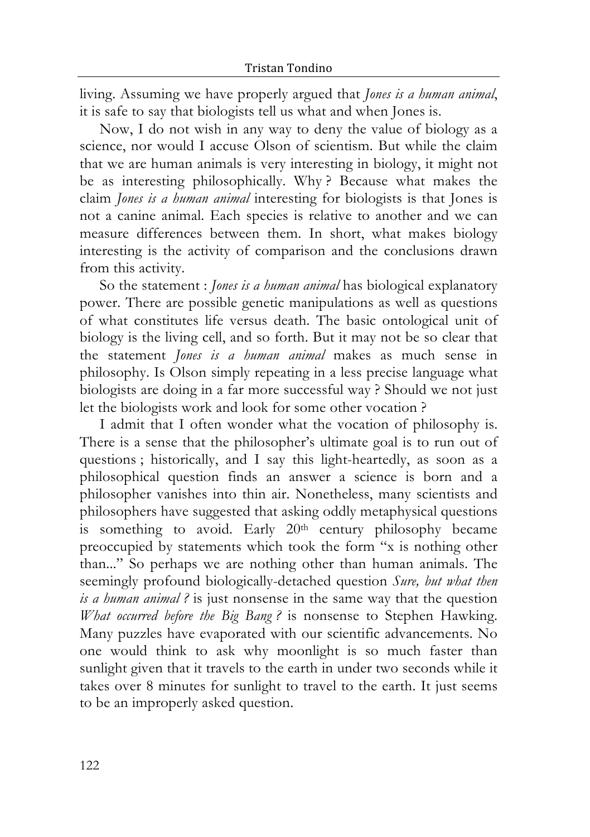living. Assuming we have properly argued that *Jones is a human animal*, it is safe to say that biologists tell us what and when Jones is.

Now, I do not wish in any way to deny the value of biology as a science, nor would I accuse Olson of scientism. But while the claim that we are human animals is very interesting in biology, it might not be as interesting philosophically. Why ? Because what makes the claim *Jones is a human animal* interesting for biologists is that Jones is not a canine animal. Each species is relative to another and we can measure differences between them. In short, what makes biology interesting is the activity of comparison and the conclusions drawn from this activity.

So the statement : *Jones is a human animal* has biological explanatory power. There are possible genetic manipulations as well as questions of what constitutes life versus death. The basic ontological unit of biology is the living cell, and so forth. But it may not be so clear that the statement *Jones is a human animal* makes as much sense in philosophy. Is Olson simply repeating in a less precise language what biologists are doing in a far more successful way ? Should we not just let the biologists work and look for some other vocation ?

I admit that I often wonder what the vocation of philosophy is. There is a sense that the philosopher's ultimate goal is to run out of questions ; historically, and I say this light-heartedly, as soon as a philosophical question finds an answer a science is born and a philosopher vanishes into thin air. Nonetheless, many scientists and philosophers have suggested that asking oddly metaphysical questions is something to avoid. Early 20<sup>th</sup> century philosophy became preoccupied by statements which took the form "x is nothing other than..." So perhaps we are nothing other than human animals. The seemingly profound biologically-detached question *Sure, but what then is a human animal ?* is just nonsense in the same way that the question *What occurred before the Big Bang ?* is nonsense to Stephen Hawking. Many puzzles have evaporated with our scientific advancements. No one would think to ask why moonlight is so much faster than sunlight given that it travels to the earth in under two seconds while it takes over 8 minutes for sunlight to travel to the earth. It just seems to be an improperly asked question.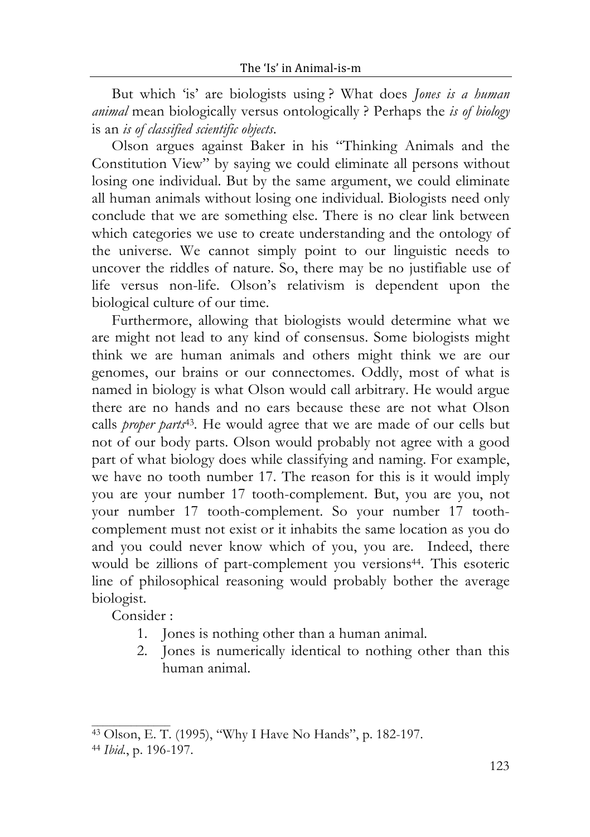But which 'is' are biologists using ? What does *Jones is a human animal* mean biologically versus ontologically ? Perhaps the *is of biology* is an *is of classified scientific objects*.

Olson argues against Baker in his "Thinking Animals and the Constitution View" by saying we could eliminate all persons without losing one individual. But by the same argument, we could eliminate all human animals without losing one individual. Biologists need only conclude that we are something else. There is no clear link between which categories we use to create understanding and the ontology of the universe. We cannot simply point to our linguistic needs to uncover the riddles of nature. So, there may be no justifiable use of life versus non-life. Olson's relativism is dependent upon the biological culture of our time.

Furthermore, allowing that biologists would determine what we are might not lead to any kind of consensus. Some biologists might think we are human animals and others might think we are our genomes, our brains or our connectomes. Oddly, most of what is named in biology is what Olson would call arbitrary. He would argue there are no hands and no ears because these are not what Olson calls *proper parts*43*.* He would agree that we are made of our cells but not of our body parts. Olson would probably not agree with a good part of what biology does while classifying and naming. For example, we have no tooth number 17. The reason for this is it would imply you are your number 17 tooth-complement. But, you are you, not your number 17 tooth-complement. So your number 17 toothcomplement must not exist or it inhabits the same location as you do and you could never know which of you, you are. Indeed, there would be zillions of part-complement you versions<sup>44</sup>. This esoteric line of philosophical reasoning would probably bother the average biologist.

Consider :

- 1. Jones is nothing other than a human animal.
- 2. Jones is numerically identical to nothing other than this human animal.

<sup>43</sup> Olson, E. T. (1995), "Why I Have No Hands", p. 182-197.

<sup>44</sup> *Ibid.*, p. 196-197.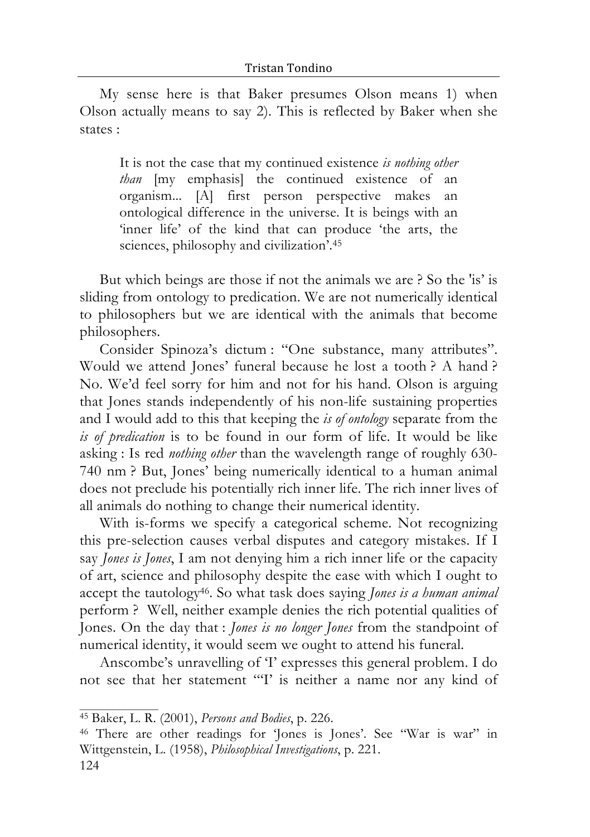My sense here is that Baker presumes Olson means 1) when Olson actually means to say 2). This is reflected by Baker when she states :

It is not the case that my continued existence *is nothing other than* [my emphasis] the continued existence of an organism... [A] first person perspective makes an ontological difference in the universe. It is beings with an 'inner life' of the kind that can produce 'the arts, the sciences, philosophy and civilization'.45

But which beings are those if not the animals we are ? So the 'is' is sliding from ontology to predication. We are not numerically identical to philosophers but we are identical with the animals that become philosophers.

Consider Spinoza's dictum : "One substance, many attributes". Would we attend Jones' funeral because he lost a tooth ? A hand ? No. We'd feel sorry for him and not for his hand. Olson is arguing that Jones stands independently of his non-life sustaining properties and I would add to this that keeping the *is of ontology* separate from the *is of predication* is to be found in our form of life. It would be like asking : Is red *nothing other* than the wavelength range of roughly 630- 740 nm ? But, Jones' being numerically identical to a human animal does not preclude his potentially rich inner life. The rich inner lives of all animals do nothing to change their numerical identity.

With is-forms we specify a categorical scheme. Not recognizing this pre-selection causes verbal disputes and category mistakes. If I say *Jones is Jones*, I am not denying him a rich inner life or the capacity of art, science and philosophy despite the ease with which I ought to accept the tautology46. So what task does saying *Jones is a human animal* perform ? Well, neither example denies the rich potential qualities of Jones. On the day that : *Jones is no longer Jones* from the standpoint of numerical identity, it would seem we ought to attend his funeral.

Anscombe's unravelling of 'I' expresses this general problem. I do not see that her statement "'I' is neither a name nor any kind of

 $\mathcal{L}_\text{max}$  and  $\mathcal{L}_\text{max}$ 

<sup>45</sup> Baker, L. R. (2001), *Persons and Bodies*, p. 226.

<sup>124</sup> 46 There are other readings for 'Jones is Jones'. See "War is war" in Wittgenstein, L. (1958), *Philosophical Investigations*, p. 221.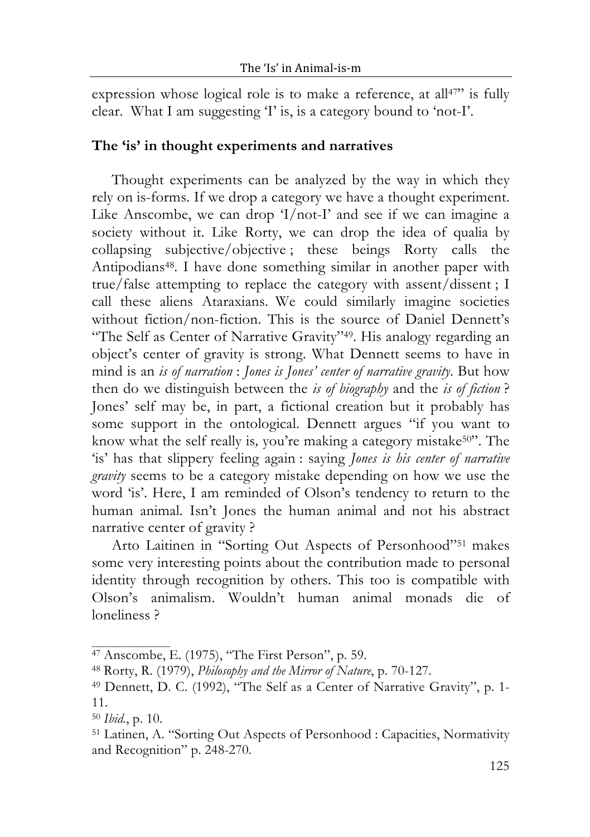expression whose logical role is to make a reference, at all<sup>47</sup> is fully clear. What I am suggesting 'I' is, is a category bound to 'not-I'.

#### **The 'is' in thought experiments and narratives**

Thought experiments can be analyzed by the way in which they rely on is-forms. If we drop a category we have a thought experiment. Like Anscombe, we can drop 'I/not-I' and see if we can imagine a society without it. Like Rorty, we can drop the idea of qualia by collapsing subjective/objective ; these beings Rorty calls the Antipodians48. I have done something similar in another paper with true/false attempting to replace the category with assent/dissent ; I call these aliens Ataraxians. We could similarly imagine societies without fiction/non-fiction. This is the source of Daniel Dennett's "The Self as Center of Narrative Gravity"49. His analogy regarding an object's center of gravity is strong. What Dennett seems to have in mind is an *is of narration* : *Jones is Jones' center of narrative gravity*. But how then do we distinguish between the *is of biography* and the *is of fiction* ? Jones' self may be, in part, a fictional creation but it probably has some support in the ontological. Dennett argues "if you want to know what the self really is, you're making a category mistake<sup>50"</sup>. The 'is' has that slippery feeling again : saying *Jones is his center of narrative gravity* seems to be a category mistake depending on how we use the word 'is'. Here, I am reminded of Olson's tendency to return to the human animal. Isn't Jones the human animal and not his abstract narrative center of gravity ?

Arto Laitinen in "Sorting Out Aspects of Personhood"51 makes some very interesting points about the contribution made to personal identity through recognition by others. This too is compatible with Olson's animalism. Wouldn't human animal monads die of loneliness ?

<sup>47</sup> Anscombe, E. (1975), "The First Person", p. 59.

<sup>48</sup> Rorty, R. (1979), *Philosophy and the Mirror of Nature*, p. 70-127.

<sup>49</sup> Dennett, D. C. (1992), "The Self as a Center of Narrative Gravity", p. 1- 11.

<sup>50</sup> *Ibid.*, p. 10.

<sup>51</sup> Latinen, A. "Sorting Out Aspects of Personhood : Capacities, Normativity and Recognition" p. 248-270.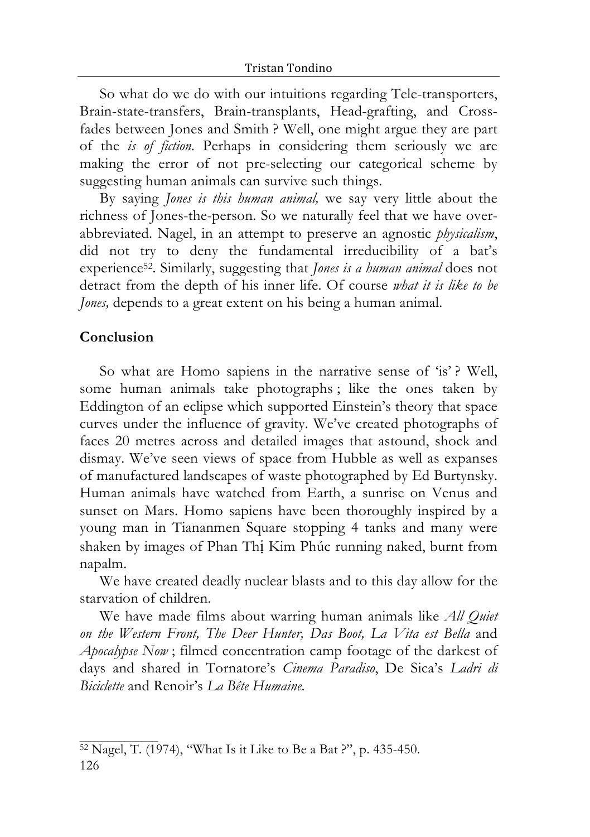So what do we do with our intuitions regarding Tele-transporters, Brain-state-transfers, Brain-transplants, Head-grafting, and Crossfades between Jones and Smith ? Well, one might argue they are part of the *is of fiction.* Perhaps in considering them seriously we are making the error of not pre-selecting our categorical scheme by suggesting human animals can survive such things.

By saying *Jones is this human animal,* we say very little about the richness of Jones-the-person. So we naturally feel that we have overabbreviated. Nagel, in an attempt to preserve an agnostic *physicalism*, did not try to deny the fundamental irreducibility of a bat's experience52. Similarly, suggesting that *Jones is a human animal* does not detract from the depth of his inner life. Of course *what it is like to be Jones*, depends to a great extent on his being a human animal.

#### **Conclusion**

So what are Homo sapiens in the narrative sense of 'is'? Well, some human animals take photographs ; like the ones taken by Eddington of an eclipse which supported Einstein's theory that space curves under the influence of gravity. We've created photographs of faces 20 metres across and detailed images that astound, shock and dismay. We've seen views of space from Hubble as well as expanses of manufactured landscapes of waste photographed by Ed Burtynsky. Human animals have watched from Earth, a sunrise on Venus and sunset on Mars. Homo sapiens have been thoroughly inspired by a young man in Tiananmen Square stopping 4 tanks and many were shaken by images of Phan Thị Kim Phúc running naked, burnt from napalm.

We have created deadly nuclear blasts and to this day allow for the starvation of children.

We have made films about warring human animals like *All Quiet on the Western Front, The Deer Hunter, Das Boot, La Vita est Bella* and *Apocalypse Now* ; filmed concentration camp footage of the darkest of days and shared in Tornatore's *Cinema Paradiso*, De Sica's *Ladri di Biciclette* and Renoir's *La Bête Humaine*.

<sup>126</sup> 52 Nagel, T. (1974), "What Is it Like to Be a Bat ?", p. 435-450.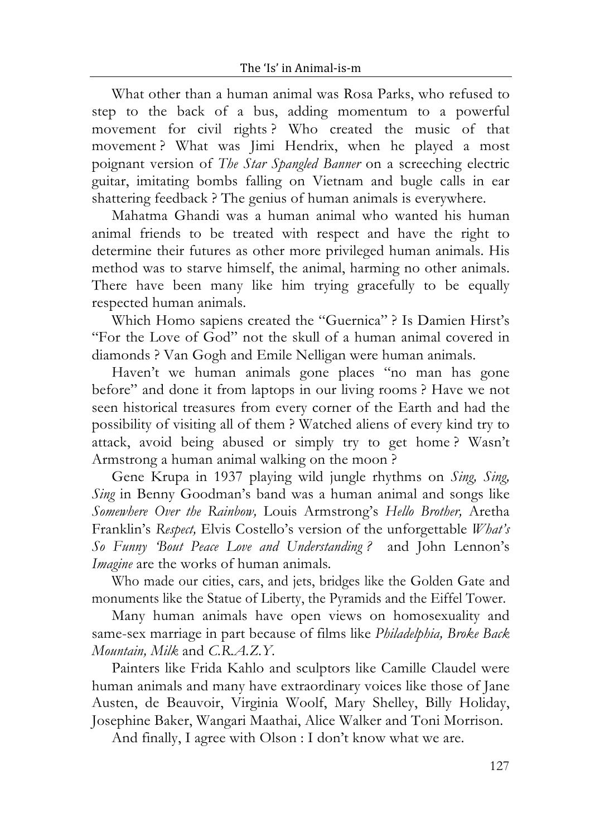What other than a human animal was Rosa Parks, who refused to step to the back of a bus, adding momentum to a powerful movement for civil rights ? Who created the music of that movement ? What was Jimi Hendrix, when he played a most poignant version of *The Star Spangled Banner* on a screeching electric guitar, imitating bombs falling on Vietnam and bugle calls in ear shattering feedback ? The genius of human animals is everywhere.

Mahatma Ghandi was a human animal who wanted his human animal friends to be treated with respect and have the right to determine their futures as other more privileged human animals. His method was to starve himself, the animal, harming no other animals. There have been many like him trying gracefully to be equally respected human animals.

Which Homo sapiens created the "Guernica" ? Is Damien Hirst's "For the Love of God" not the skull of a human animal covered in diamonds ? Van Gogh and Emile Nelligan were human animals.

Haven't we human animals gone places "no man has gone before" and done it from laptops in our living rooms ? Have we not seen historical treasures from every corner of the Earth and had the possibility of visiting all of them ? Watched aliens of every kind try to attack, avoid being abused or simply try to get home ? Wasn't Armstrong a human animal walking on the moon ?

Gene Krupa in 1937 playing wild jungle rhythms on *Sing, Sing, Sing* in Benny Goodman's band was a human animal and songs like *Somewhere Over the Rainbow,* Louis Armstrong's *Hello Brother,* Aretha Franklin's *Respect,* Elvis Costello's version of the unforgettable *What's So Funny 'Bout Peace Love and Understanding ?* and John Lennon's *Imagine* are the works of human animals*.*

Who made our cities, cars, and jets, bridges like the Golden Gate and monuments like the Statue of Liberty, the Pyramids and the Eiffel Tower.

Many human animals have open views on homosexuality and same-sex marriage in part because of films like *Philadelphia, Broke Back Mountain, Milk* and *C.R.A.Z.Y.*

Painters like Frida Kahlo and sculptors like Camille Claudel were human animals and many have extraordinary voices like those of Jane Austen, de Beauvoir, Virginia Woolf, Mary Shelley, Billy Holiday, Josephine Baker, Wangari Maathai, Alice Walker and Toni Morrison.

And finally, I agree with Olson : I don't know what we are.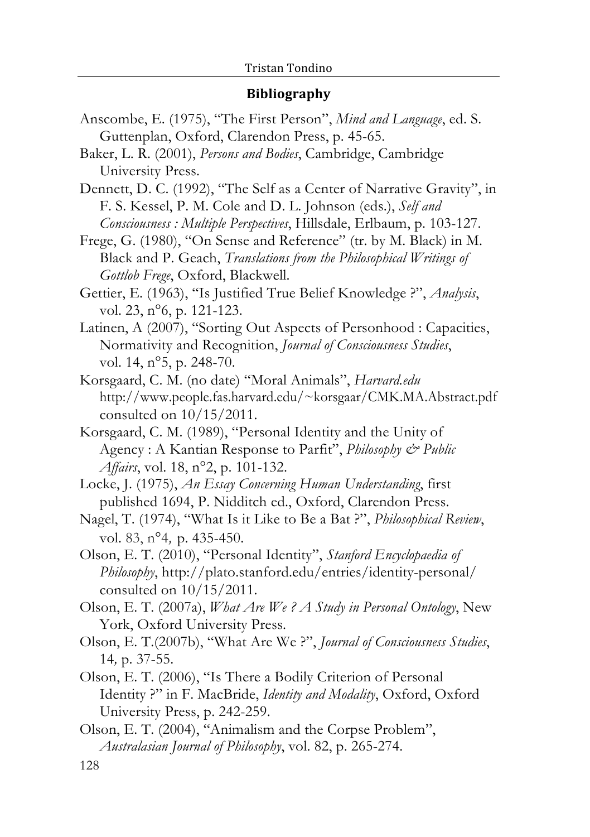#### **Bibliography**

- Anscombe, E. (1975), "The First Person", *Mind and Language*, ed. S. Guttenplan, Oxford, Clarendon Press, p. 45-65.
- Baker, L. R. (2001), *Persons and Bodies*, Cambridge, Cambridge University Press.
- Dennett, D. C. (1992), "The Self as a Center of Narrative Gravity", in F. S. Kessel, P. M. Cole and D. L. Johnson (eds.), *Self and Consciousness : Multiple Perspectives*, Hillsdale, Erlbaum, p. 103-127.
- Frege, G. (1980), "On Sense and Reference" (tr. by M. Black) in M. Black and P. Geach, *Translations from the Philosophical Writings of Gottlob Frege*, Oxford, Blackwell.
- Gettier, E. (1963), "Is Justified True Belief Knowledge ?", *Analysis*, vol. 23, n°6, p. 121-123.
- Latinen, A (2007), "Sorting Out Aspects of Personhood : Capacities, Normativity and Recognition, *Journal of Consciousness Studies*, vol. 14, n°5, p. 248-70.
- Korsgaard, C. M. (no date) "Moral Animals", *Harvard.edu* http://www.people.fas.harvard.edu/~korsgaar/CMK.MA.Abstract.pdf consulted on 10/15/2011.
- Korsgaard, C. M. (1989), "Personal Identity and the Unity of Agency : A Kantian Response to Parfit", *Philosophy & Public Affairs*, vol. 18, n°2, p. 101-132.
- Locke, J. (1975), *An Essay Concerning Human Understanding*, first published 1694, P. Nidditch ed., Oxford, Clarendon Press.
- Nagel, T. (1974), "What Is it Like to Be a Bat ?", *Philosophical Review*, vol. 83, n°4*,* p. 435-450.
- Olson, E. T. (2010), "Personal Identity", *Stanford Encyclopaedia of Philosophy*, http://plato.stanford.edu/entries/identity-personal/ consulted on 10/15/2011.
- Olson, E. T. (2007a), *What Are We ? A Study in Personal Ontology*, New York, Oxford University Press.
- Olson, E. T.(2007b), "What Are We ?", *Journal of Consciousness Studies*, 14*,* p. 37-55.
- Olson, E. T. (2006), "Is There a Bodily Criterion of Personal Identity ?" in F. MacBride, *Identity and Modality*, Oxford, Oxford University Press, p. 242-259.
- Olson, E. T. (2004), "Animalism and the Corpse Problem", *Australasian Journal of Philosophy*, vol. 82, p. 265-274.

<sup>128</sup>